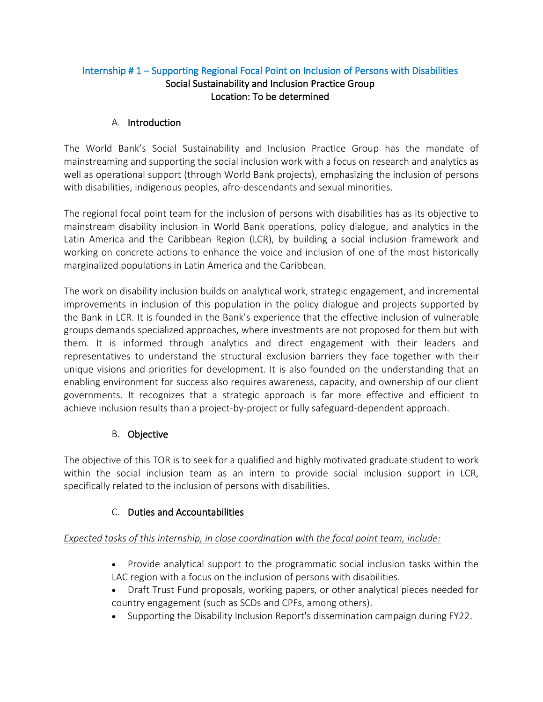### Internship # 1 – Supporting Regional Focal Point on Inclusion of Persons with Disabilities Social Sustainability and Inclusion Practice Group Location: To be determined

### A. Introduction

The World Bank's Social Sustainability and Inclusion Practice Group has the mandate of mainstreaming and supporting the social inclusion work with a focus on research and analytics as well as operational support (through World Bank projects), emphasizing the inclusion of persons with disabilities, indigenous peoples, afro-descendants and sexual minorities.

The regional focal point team for the inclusion of persons with disabilities has as its objective to mainstream disability inclusion in World Bank operations, policy dialogue, and analytics in the Latin America and the Caribbean Region (LCR), by building a social inclusion framework and working on concrete actions to enhance the voice and inclusion of one of the most historically marginalized populations in Latin America and the Caribbean.

The work on disability inclusion builds on analytical work, strategic engagement, and incremental improvements in inclusion of this population in the policy dialogue and projects supported by the Bank in LCR. It is founded in the Bank's experience that the effective inclusion of vulnerable groups demands specialized approaches, where investments are not proposed for them but with them. It is informed through analytics and direct engagement with their leaders and representatives to understand the structural exclusion barriers they face together with their unique visions and priorities for development. It is also founded on the understanding that an enabling environment for success also requires awareness, capacity, and ownership of our client governments. It recognizes that a strategic approach is far more effective and efficient to achieve inclusion results than a project-by-project or fully safeguard-dependent approach.

#### B. Objective

The objective of this TOR is to seek for a qualified and highly motivated graduate student to work within the social inclusion team as an intern to provide social inclusion support in LCR, specifically related to the inclusion of persons with disabilities.

# C. Duties and Accountabilities

# *Expected tasks of this internship, in close coordination with the focal point team, include:*

- Provide analytical support to the programmatic social inclusion tasks within the LAC region with a focus on the inclusion of persons with disabilities.
- Draft Trust Fund proposals, working papers, or other analytical pieces needed for country engagement (such as SCDs and CPFs, among others).
- Supporting the Disability Inclusion Report's dissemination campaign during FY22.